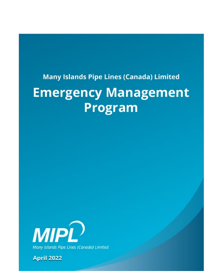# **Many Islands Pipe Lines (Canada) Limited**

# **Emergency Management Program**



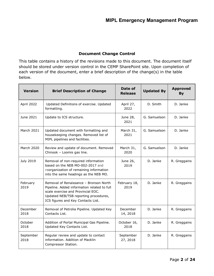#### **Document Change Control**

This table contains a history of the revisions made to this document. The document itself should be stored under version control in the CEMP SharePoint site. Upon completion of each version of the document, enter a brief description of the change(s) in the table below.

| <b>Version</b>    | <b>Brief Description of Change</b>                                                                                                                                                                         | Date of<br><b>Release</b> | <b>Updated By</b> | <b>Approved</b><br><b>By</b> |
|-------------------|------------------------------------------------------------------------------------------------------------------------------------------------------------------------------------------------------------|---------------------------|-------------------|------------------------------|
| April 2022        | Updated Definitions of exercise. Updated<br>formatting.                                                                                                                                                    | April 27,<br>2022         | D. Smith          | D. Janke                     |
| June 2021         | Update to ICS structure.                                                                                                                                                                                   | June 28,<br>2021          | G. Samuelson      | D. Janke                     |
| March 2021        | Updated document with formatting and<br>housekeeping changes. Removed list of<br>MIPL pipelines and facilities.                                                                                            | March 31,<br>2021         | G. Samuelson      | D. Janke                     |
| <b>March 2020</b> | Review and update of document. Removed<br>Chinook - Loomis gas line.                                                                                                                                       | March 31,<br>2020         | G. Samuelson      | D. Janke                     |
| July 2019         | Removal of non-required information<br>based on the NEB MO-002-2017 and<br>reorganization of remaining information<br>into the same headings as the NEB MO.                                                | June 26,<br>2019          | D. Janke          | R. Greggains                 |
| February<br>2019  | Removal of Renaissance - Bronson North<br>Pipeline. Added information related to full<br>scale exercise and Provincial EOC.<br>Updated NEB/TSB reporting procedures,<br>ICS figures and Key Contacts List. | February 18,<br>2019      | D. Janke          | R. Greggains                 |
| December<br>2018  | Removal of Petrolia Pipeline. Updated Key<br>Contacts List.                                                                                                                                                | December<br>14, 2018      | D. Janke          | R. Greggains                 |
| October<br>2018   | Addition of Portal Municipal Gas Pipeline.<br>Updated Key Contacts List.                                                                                                                                   | October 16,<br>2018       | D. Janke          | R. Greggains                 |
| September<br>2018 | Regular review and update to contact<br>information. Addition of Macklin<br>Compressor Station.                                                                                                            | September<br>27, 2018     | D. Janke          | R. Greggains                 |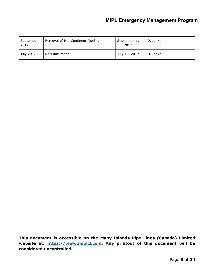# **MIPL Emergency Management Program**

| September<br>2017 | Removal of Mid-Continent Pipeline | September 1,<br>2017 | D. Janke |  |
|-------------------|-----------------------------------|----------------------|----------|--|
| July 2017         | New document                      | July 10, 2017        | D. Janke |  |

**This document is accessible on the Many Islands Pipe Lines (Canada) Limited website at: [https://www.miplcl.com.](https://www.miplcl.com/) Any printout of this document will be considered uncontrolled.**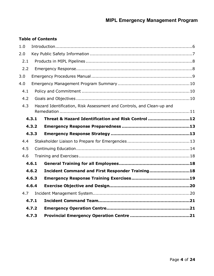# **Table of Contents**

| 1.0 |       |                                                                       |  |
|-----|-------|-----------------------------------------------------------------------|--|
| 2.0 |       |                                                                       |  |
| 2.1 |       |                                                                       |  |
| 2.2 |       |                                                                       |  |
| 3.0 |       |                                                                       |  |
| 4.0 |       |                                                                       |  |
| 4.1 |       |                                                                       |  |
| 4.2 |       |                                                                       |  |
| 4.3 |       | Hazard Identification, Risk Assessment and Controls, and Clean-up and |  |
|     | 4.3.1 | Threat & Hazard Identification and Risk Control 12                    |  |
|     | 4.3.2 |                                                                       |  |
|     | 4.3.3 |                                                                       |  |
| 4.4 |       |                                                                       |  |
| 4.5 |       |                                                                       |  |
| 4.6 |       |                                                                       |  |
|     | 4.6.1 |                                                                       |  |
|     | 4.6.2 | Incident Command and First Responder Training18                       |  |
|     |       |                                                                       |  |
|     | 4.6.3 |                                                                       |  |
|     | 4.6.4 |                                                                       |  |
| 4.7 |       |                                                                       |  |
|     | 4.7.1 |                                                                       |  |
|     | 4.7.2 |                                                                       |  |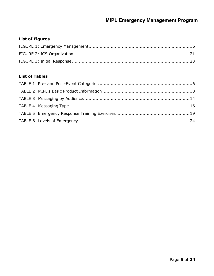# **List of Figures**

# **List of Tables**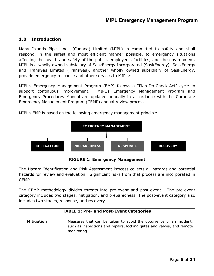## **1.0 Introduction**

Many Islands Pipe Lines (Canada) Limited (MIPL) is committed to safety and shall respond, in the safest and most efficient manner possible, to emergency situations affecting the health and safety of the public, employees, facilities, and the environment. MIPL is a wholly owned subsidiary of SaskEnergy Incorporated (SaskEnergy). SaskEnergy and TransGas Limited (TransGas), another wholly owned subsidiary of SaskEnergy, provide emergency response and other services to MIPL. $<sup>1</sup>$ </sup>

MIPL's Emergency Management Program (EMP) follows a "Plan-Do-Check-Act" cycle to support continuous improvement. MIPL's Emergency Management Program and Emergency Procedures Manual are updated annually in accordance with the Corporate Emergency Management Program (CEMP) annual review process.

MIPL's EMP is based on the following emergency management principle:



**FIGURE 1: Emergency Management**

The Hazard Identification and Risk Assessment Process collects all hazards and potential hazards for review and evaluation. Significant risks from that process are incorporated in CEMP.

The CEMP methodology divides threats into pre-event and post-event. The pre-event category includes two stages, mitigation, and preparedness. The post-event category also includes two stages, response, and recovery.

<span id="page-5-0"></span>

| <b>TABLE 1: Pre- and Post-Event Categories</b> |                                                                                                                                                            |
|------------------------------------------------|------------------------------------------------------------------------------------------------------------------------------------------------------------|
| <b>Mitigation</b>                              | Measures that can be taken to avoid the occurrence of an incident,<br>such as inspections and repairs, locking gates and valves, and remote<br>monitoring. |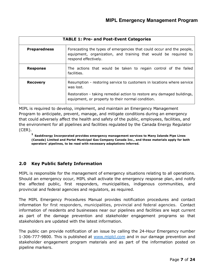| <b>TABLE 1: Pre- and Post-Event Categories</b> |                                                                                                                                                                  |  |
|------------------------------------------------|------------------------------------------------------------------------------------------------------------------------------------------------------------------|--|
| <b>Preparedness</b>                            | Forecasting the types of emergencies that could occur and the people,<br>equipment, organization, and training that would be required to<br>respond effectively. |  |
| <b>Response</b>                                | The actions that would be taken to regain control of the failed<br>facilities.                                                                                   |  |
| <b>Recovery</b>                                | Resumption - restoring service to customers in locations where service<br>was lost.                                                                              |  |
|                                                | Restoration - taking remedial action to restore any damaged buildings,<br>equipment, or property to their normal condition.                                      |  |

MIPL is required to develop, implement, and maintain an Emergency Management Program to anticipate, prevent, manage, and mitigate conditions during an emergency that could adversely affect the health and safety of the public, employees, facilities, and the environment for all pipelines and facilities regulated by the Canada Energy Regulator (CER).

**<sup>1</sup> SaskEnergy Incorporated provides emergency management services to Many Islands Pipe Lines (Canada) Limited and Portal Municipal Gas Company Canada Inc., and these materials apply for both operators' pipelines, to be read with necessary adaptations inferred.**

# **2.0 Key Public Safety Information**

MIPL is responsible for the management of emergency situations relating to all operations. Should an emergency occur, MIPL shall activate the emergency response plan, and notify the affected public, first responders, municipalities, indigenous communities, and provincial and federal agencies and regulators, as required.

The MIPL Emergency Procedures Manual provides notification procedures and contact information for first responders, municipalities, provincial and federal agencies. Contact information of residents and businesses near our pipelines and facilities are kept current as part of the damage prevention and stakeholder engagement programs so that stakeholders are updated with the latest information.

The public can provide notification of an issue by calling the 24-Hour Emergency number 1-306-777-9800. This is published at [www.miplcl.com](https://www.miplcl.com/) and in our damage prevention and stakeholder engagement program materials and as part of the information posted on pipeline markers.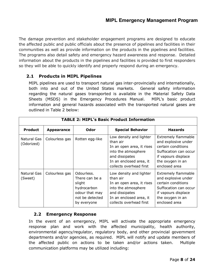# **MIPL Emergency Management Program**

The damage prevention and stakeholder engagement programs are designed to educate the affected public and public officials about the presence of pipelines and facilities in their communities as well as provide information on the products in the pipelines and facilities. The programs also detail safety and emergency hazard awareness and response. Detailed information about the products in the pipelines and facilities is provided to first responders so they will be able to quickly identify and properly respond during an emergency.

#### **2.1 Products in MIPL Pipelines**

MIPL pipelines are used to transport natural gas inter-provincially and internationally, both into and out of the United States markets. General safety information regarding the natural gases transported is available in the Material Safety Data Sheets (MSDS) in the Emergency Procedures Manual. MIPL's basic product information and general hazards associated with the transported natural gases are outlined in Table 2 below:

| <b>TABLE 2: MIPL's Basic Product Information</b> |                   |                                                                                                           |                                                                                                                                                                 |                                                                                                                                                              |
|--------------------------------------------------|-------------------|-----------------------------------------------------------------------------------------------------------|-----------------------------------------------------------------------------------------------------------------------------------------------------------------|--------------------------------------------------------------------------------------------------------------------------------------------------------------|
| <b>Product</b>                                   | <b>Appearance</b> | Odor                                                                                                      | <b>Special Behavior</b>                                                                                                                                         | <b>Hazards</b>                                                                                                                                               |
| <b>Natural Gas</b><br>(Odorized)                 | Colourless gas    | Rotten egg-like                                                                                           | Low density and lighter<br>than air<br>In an open area, it rises<br>into the atmosphere<br>and dissipates<br>In an enclosed area, it<br>collects overhead first | <b>Extremely flammable</b><br>and explosive under<br>certain conditions<br>Suffocation can occur<br>if vapours displace<br>the oxygen in an<br>enclosed area |
| Natural Gas<br>(Sweet)                           | Colourless gas    | Odourless.<br>There can be a<br>slight<br>hydrocarbon<br>odour that may<br>not be detected<br>by everyone | Low density and lighter<br>than air<br>In an open area, it rises<br>into the atmosphere<br>and dissipates<br>In an enclosed area, it<br>collects overhead first | <b>Extremely flammable</b><br>and explosive under<br>certain conditions<br>Suffocation can occur<br>if vapours displace<br>the oxygen in an<br>enclosed area |

#### **2.2 Emergency Response**

In the event of an emergency, MIPL will activate the appropriate emergency response plan and work with the affected municipality, health authority, environmental agency/regulator, regulatory body, and other provincial government departments and/or agencies, as required. MIPL will notify and update members of the affected public on actions to be taken and/or actions taken. Multiple communication platforms may be utilized including: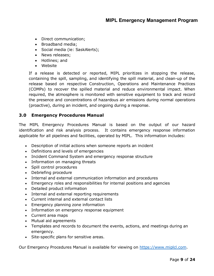- Direct communication;
- Broadband media;
- Social media (ie: SaskAlerts);
- News releases;
- Hotlines; and
- Website

If a release is detected or reported, MIPL prioritizes in stopping the release, containing the spill, sampling, and identifying the spill material, and clean-up of the release based on respective Construction, Operations and Maintenance Practices (COMPs) to recover the spilled material and reduce environmental impact. When required, the atmosphere is monitored with sensitive equipment to track and record the presence and concentrations of hazardous air emissions during normal operations (proactive), during an incident, and ongoing during a response.

#### **3.0 Emergency Procedures Manual**

The MIPL Emergency Procedures Manual is based on the output of our hazard identification and risk analysis process. It contains emergency response information applicable for all pipelines and facilities, operated by MIPL. This information includes:

- Description of initial actions when someone reports an incident
- Definitions and levels of emergencies
- Incident Command System and emergency response structure
- Information on managing threats
- Spill control procedures
- Debriefing procedure
- Internal and external communication information and procedures
- Emergency roles and responsibilities for internal positions and agencies
- Detailed product information
- Internal and external reporting requirements
- Current internal and external contact lists
- Emergency planning zone information
- Information on emergency response equipment
- Current area maps
- Mutual aid agreements
- Templates and records to document the events, actions, and meetings during an emergency.
- Site-specific plans for sensitive areas.

Our Emergency Procedures Manual is available for viewing on [https://www.miplcl.com.](https://www.miplcl.com/)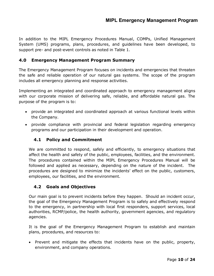In addition to the MIPL Emergency Procedures Manual, COMPs, Unified Management System (UMS) programs, plans, procedures, and guidelines have been developed, to support pre- and post-event controls as noted in Table 1.

#### **4.0 Emergency Management Program Summary**

The Emergency Management Program focuses on incidents and emergencies that threaten the safe and reliable operation of our natural gas systems. The scope of the program includes all emergency planning and response activities.

Implementing an integrated and coordinated approach to emergency management aligns with our corporate mission of delivering safe, reliable, and affordable natural gas. The purpose of the program is to:

- provide an integrated and coordinated approach at various functional levels within the Company.
- provide compliance with provincial and federal legislation regarding emergency programs and our participation in their development and operation.

#### **4.1 Policy and Commitment**

We are committed to respond, safely and efficiently, to emergency situations that affect the health and safety of the public, employees, facilities, and the environment. The procedures contained within the MIPL Emergency Procedures Manual will be followed and applied as necessary, depending on the nature of the incident. The procedures are designed to minimize the incidents' effect on the public, customers, employees, our facilities, and the environment.

#### **4.2 Goals and Objectives**

Our main goal is to prevent incidents before they happen. Should an incident occur, the goal of the Emergency Management Program is to safely and effectively respond to the emergency, in partnership with local first responders, support services, local authorities, RCMP/police, the health authority, government agencies, and regulatory agencies.

It is the goal of the Emergency Management Program to establish and maintain plans, procedures, and resources to:

• Prevent and mitigate the effects that incidents have on the public, property, environment, and company operations.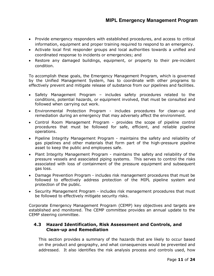- Provide emergency responders with established procedures, and access to critical information, equipment and proper training required to respond to an emergency.
- Activate local first responder groups and local authorities towards a unified and coordinated response to incidents or emergencies; and
- Restore any damaged buildings, equipment, or property to their pre-incident condition.

To accomplish these goals, the Emergency Management Program, which is governed by the Unified Management System, has to coordinate with other programs to effectively prevent and mitigate release of substance from our pipelines and facilities.

- Safety Management Program includes safety procedures related to the conditions, potential hazards, or equipment involved, that must be consulted and followed when carrying out work.
- Environmental Protection Program includes procedures for clean-up and remediation during an emergency that may adversely affect the environment.
- Control Room Management Program provides the scope of pipeline control procedures that must be followed for safe, efficient, and reliable pipeline operations.
- Pipeline Integrity Management Program maintains the safety and reliability of gas pipelines and other materials that form part of the high-pressure pipeline asset to keep the public and employees safe.
- Plant Integrity Management Program maintains the safety and reliability of the pressure vessels and associated piping systems. This serves to control the risks associated with loss of containment of the pressure equipment and subsequent gas loss.
- Damage Prevention Program includes risk management procedures that must be followed to effectively address protection of the MIPL pipeline system and protection of the public.
- Security Management Program includes risk management procedures that must be followed to effectively mitigate security risks.

Corporate Emergency Management Program (CEMP) key objectives and targets are established and monitored. The CEMP committee provides an annual update to the CEMP steering committee.

#### **4.3 Hazard Identification, Risk Assessment and Controls, and Clean-up and Remediation**

This section provides a summary of the hazards that are likely to occur based on the product and geography, and what consequences would be prevented and addressed. It also identifies the risk analysis process and controls used, how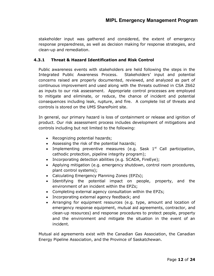stakeholder input was gathered and considered, the extent of emergency response preparedness, as well as decision making for response strategies, and clean-up and remediation.

#### **4.3.1 Threat & Hazard Identification and Risk Control**

Public awareness events with stakeholders are held following the steps in the Integrated Public Awareness Process. Stakeholders' input and potential concerns raised are properly documented, reviewed, and analyzed as part of continuous improvement and used along with the threats outlined in CSA Z662 as inputs to our risk assessment. Appropriate control processes are employed to mitigate and eliminate, or reduce, the chance of incident and potential consequences including leak, rupture, and fire. A complete list of threats and controls is stored on the UMS SharePoint site.

In general, our primary hazard is loss of containment or release and ignition of product. Our risk assessment process includes development of mitigations and controls including but not limited to the following:

- Recognizing potential hazards;
- Assessing the risk of the potential hazards;
- Implementing preventive measures (e.g. Sask  $1<sup>st</sup>$  Call participation, cathodic protection, pipeline integrity program);
- Incorporating detection abilities (e.g. SCADA, FireEye);
- Applying mitigation (e.g. emergency shutdown, control room procedures, plant control systems);
- Calculating Emergency Planning Zones (EPZs);
- Identifying the potential impact on people, property, and the environment of an incident within the EPZs;
- Completing external agency consultation within the EPZs;
- Incorporating external agency feedback; and
- Arranging for equipment resources (e.g. type, amount and location of emergency response equipment, mutual aid agreements, contractor, and clean-up resources) and response procedures to protect people, property and the environment and mitigate the situation in the event of an incident.

Mutual aid agreements exist with the Canadian Gas Association, the Canadian Energy Pipeline Association, and the Province of Saskatchewan.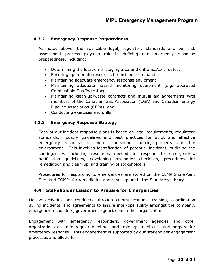#### **4.3.2 Emergency Response Preparedness**

As noted above, the applicable legal, regulatory standards and our risk assessment process plays a role in defining our emergency response preparedness, including:

- Determining the location of staging area and entrance/exit routes;
- Ensuring appropriate resources for incident command;
- Maintaining adequate emergency response equipment;
- Maintaining adequate hazard monitoring equipment (e.g. approved Combustible Gas Indicator);
- Maintaining clean-up/waste contracts and mutual aid agreements with members of the Canadian Gas Association (CGA) and Canadian Energy Pipeline Association (CEPA); and
- Conducting exercises and drills

#### **4.3.3 Emergency Response Strategy**

Each of our incident response plans is based on legal requirements, regulatory standards, industry guidelines and best practices for quick and effective emergency response to protect personnel, public, property and the environment. This involves identification of potential incidents, outlining the contingencies including resources needed to respond to emergencies, notification guidelines, developing responder checklists, procedures for remediation and clean-up, and training of stakeholders.

Procedures for responding to emergencies are stored on the CEMP SharePoint Site, and COMPs for remediation and clean-up are in the Standards Library.

#### **4.4 Stakeholder Liaison to Prepare for Emergencies**

Liaison activities are conducted through communications, training, coordination during incidents, and agreements to assure inter-operability amongst the company, emergency responders, government agencies and other organizations.

Engagement with emergency responders, government agencies and other organizations occur in regular meetings and trainings to discuss and prepare for emergency response. This engagement is supported by our stakeholder engagement processes and allows for: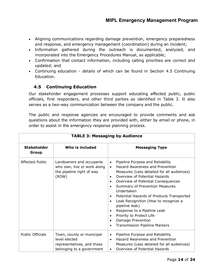- Aligning communications regarding damage prevention, emergency preparedness and response, and emergency management (coordination) during an incident;
- Information gathered during the outreach is documented, analyzed, and incorporated into the Emergency Procedures Manual, as applicable;
- Confirmation that contact information, including calling priorities are correct and updated; and
- Continuing education details of which can be found in Section 4.5 Continuing Education.

# **4.5 Continuing Education**

Our stakeholder engagement processes support educating affected public, public officials, first responders, and other third parties as identified in Table 3. It also serves as a two-way communication between the company and the public.

The public and response agencies are encouraged to provide comments and ask questions about the information they are provided with, either by email or phone, in order to assist in the emergency response planning process.

| <b>TABLE 3: Messaging by Audience</b> |                                                                                                       |                                                                                                                                                                                                                                                                                                                                                                                                                                                                                                                                                              |
|---------------------------------------|-------------------------------------------------------------------------------------------------------|--------------------------------------------------------------------------------------------------------------------------------------------------------------------------------------------------------------------------------------------------------------------------------------------------------------------------------------------------------------------------------------------------------------------------------------------------------------------------------------------------------------------------------------------------------------|
| <b>Stakeholder</b><br>Group           | Who is included                                                                                       | <b>Messaging Type</b>                                                                                                                                                                                                                                                                                                                                                                                                                                                                                                                                        |
| Affected Public                       | Landowners and occupants<br>who own, live or work along<br>the pipeline right of way<br>(ROW)         | Pipeline Purpose and Reliability<br>$\bullet$<br><b>Hazard Awareness and Prevention</b><br>$\bullet$<br>Measures (Less detailed for all audiences)<br>Overview of Potential Hazards<br>$\bullet$<br>Overview of Potential Consequences<br>$\bullet$<br>Summary of Prevention Measures<br>$\bullet$<br>Undertaken<br>Potential Hazards of Products Transported<br>Leak Recognition (How to recognize a<br>$\bullet$<br>pipeline leak)<br>Response to a Pipeline Leak<br>Priority to Protect Life<br>Damage Prevention<br><b>Transmission Pipeline Markers</b> |
| <b>Public Officials</b>               | Town, county or municipal<br>level elected<br>representatives, and those<br>belonging to a government | Pipeline Purpose and Reliability<br>$\bullet$<br>Hazard Awareness and Prevention<br>$\bullet$<br>Measures (Less detailed for all audiences)<br>Overview of Potential Hazards<br>$\bullet$                                                                                                                                                                                                                                                                                                                                                                    |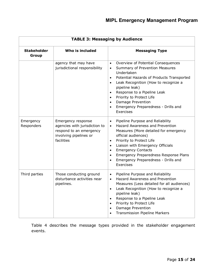| <b>TABLE 3: Messaging by Audience</b> |                                                                                                                        |                                                                                                                                                                                                                                                                                                                                                                                                                                       |
|---------------------------------------|------------------------------------------------------------------------------------------------------------------------|---------------------------------------------------------------------------------------------------------------------------------------------------------------------------------------------------------------------------------------------------------------------------------------------------------------------------------------------------------------------------------------------------------------------------------------|
| <b>Stakeholder</b><br>Group           | Who is included                                                                                                        | <b>Messaging Type</b>                                                                                                                                                                                                                                                                                                                                                                                                                 |
|                                       | agency that may have<br>jurisdictional responsibility                                                                  | Overview of Potential Consequences<br>$\bullet$<br>Summary of Prevention Measures<br>$\bullet$<br>Undertaken<br>Potential Hazards of Products Transported<br>$\bullet$<br>Leak Recognition (How to recognize a<br>$\bullet$<br>pipeline leak)<br>Response to a Pipeline Leak<br>$\bullet$<br>Priority to Protect Life<br>$\bullet$<br>Damage Prevention<br>$\bullet$<br>Emergency Preparedness - Drills and<br>$\bullet$<br>Exercises |
| Emergency<br>Responders               | Emergency response<br>agencies with jurisdiction to<br>respond to an emergency<br>involving pipelines or<br>facilities | Pipeline Purpose and Reliability<br>$\bullet$<br>Hazard Awareness and Prevention<br>$\bullet$<br>Measures (More detailed for emergency<br>official audiences)<br>Priority to Protect Life<br>$\bullet$<br>Liaison with Emergency Officials<br>$\bullet$<br><b>Emergency Contacts</b><br>$\bullet$<br>Emergency Preparedness Response Plans<br>$\bullet$<br>Emergency Preparedness - Drills and<br>$\bullet$<br>Exercises              |
| Third parties                         | Those conducting ground<br>disturbance activities near<br>pipelines.                                                   | Pipeline Purpose and Reliability<br>$\bullet$<br>Hazard Awareness and Prevention<br>$\bullet$<br>Measures (Less detailed for all audiences)<br>Leak Recognition (How to recognize a<br>$\bullet$<br>pipeline leak)<br>Response to a Pipeline Leak<br>$\bullet$<br>Priority to Protect Life<br>$\bullet$<br>Damage Prevention<br>$\bullet$<br><b>Transmission Pipeline Markers</b>                                                     |

Table 4 describes the message types provided in the stakeholder engagement events.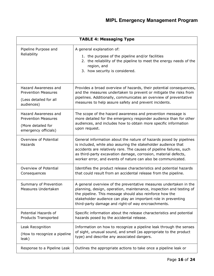| <b>TABLE 4: Messaging Type</b>               |                                                                                                                                                                                                                                                                                                                                                |  |
|----------------------------------------------|------------------------------------------------------------------------------------------------------------------------------------------------------------------------------------------------------------------------------------------------------------------------------------------------------------------------------------------------|--|
| Pipeline Purpose and<br>Reliability          | A general explanation of:<br>1. the purpose of the pipeline and/or facilities<br>2. the reliability of the pipeline to meet the energy needs of the<br>region, and<br>3. how security is considered.                                                                                                                                           |  |
| Hazard Awareness and                         | Provides a broad overview of hazards, their potential consequences,                                                                                                                                                                                                                                                                            |  |
| <b>Prevention Measures</b>                   | and the measures undertaken to prevent or mitigate the risks from                                                                                                                                                                                                                                                                              |  |
| (Less detailed for all                       | pipelines. Additionally, communicates an overview of preventative                                                                                                                                                                                                                                                                              |  |
| audiences)                                   | measures to help assure safety and prevent incidents.                                                                                                                                                                                                                                                                                          |  |
| Hazard Awareness and                         | The scope of the hazard awareness and prevention message is                                                                                                                                                                                                                                                                                    |  |
| <b>Prevention Measures</b>                   | more detailed for the emergency responder audience than for other                                                                                                                                                                                                                                                                              |  |
| (More detailed for                           | audiences, and includes how to obtain more specific information                                                                                                                                                                                                                                                                                |  |
| emergency officials)                         | upon request.                                                                                                                                                                                                                                                                                                                                  |  |
| Overview of Potential<br>Hazards             | General information about the nature of hazards posed by pipelines<br>is included, while also assuring the stakeholder audience that<br>accidents are relatively rare. The causes of pipeline failures, such<br>as third-party excavation damage, corrosion, material defects,<br>worker error, and events of nature can also be communicated. |  |
| Overview of Potential                        | Identifies the product release characteristics and potential hazards                                                                                                                                                                                                                                                                           |  |
| Consequences                                 | that could result from an accidental release from the pipeline.                                                                                                                                                                                                                                                                                |  |
| Summary of Prevention<br>Measures Undertaken | A general overview of the preventative measures undertaken in the<br>planning, design, operation, maintenance, inspection and testing of<br>the pipeline. This message should also reinforce how the<br>stakeholder audience can play an important role in preventing<br>third-party damage and right-of way encroachments.                    |  |
| Potential Hazards of                         | Specific information about the release characteristics and potential                                                                                                                                                                                                                                                                           |  |
| Products Transported                         | hazards posed by the accidental release.                                                                                                                                                                                                                                                                                                       |  |
| Leak Recognition                             | Information on how to recognize a pipeline leak through the senses                                                                                                                                                                                                                                                                             |  |
| (How to recognize a pipeline                 | of sight, unusual sound, and smell (as appropriate to the product                                                                                                                                                                                                                                                                              |  |
| leak)                                        | type) and describe any associated dangers.                                                                                                                                                                                                                                                                                                     |  |
| Response to a Pipeline Leak                  | Outlines the appropriate actions to take once a pipeline leak or                                                                                                                                                                                                                                                                               |  |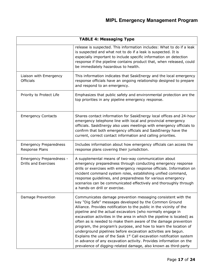| <b>TABLE 4: Messaging Type</b>                          |                                                                                                                                                                                                                                                                                                                                                                                                                                                                                                                                                                                                                                                                                                                                                                  |  |
|---------------------------------------------------------|------------------------------------------------------------------------------------------------------------------------------------------------------------------------------------------------------------------------------------------------------------------------------------------------------------------------------------------------------------------------------------------------------------------------------------------------------------------------------------------------------------------------------------------------------------------------------------------------------------------------------------------------------------------------------------------------------------------------------------------------------------------|--|
|                                                         | release is suspected. This information includes: What to do if a leak<br>is suspected and what not to do if a leak is suspected. It is<br>especially important to include specific information on detection<br>response if the pipeline contains product that, when released, could<br>be immediately hazardous to health.                                                                                                                                                                                                                                                                                                                                                                                                                                       |  |
| Liaison with Emergency<br><b>Officials</b>              | This information indicates that SaskEnergy and the local emergency<br>response officials have an ongoing relationship designed to prepare<br>and respond to an emergency.                                                                                                                                                                                                                                                                                                                                                                                                                                                                                                                                                                                        |  |
| Priority to Protect Life                                | Emphasizes that public safety and environmental protection are the<br>top priorities in any pipeline emergency response.                                                                                                                                                                                                                                                                                                                                                                                                                                                                                                                                                                                                                                         |  |
| <b>Emergency Contacts</b>                               | Shares contact information for SaskEnergy local offices and 24-hour<br>emergency telephone line with local and provincial emergency<br>officials. SaskEnergy also uses meetings with emergency officials to<br>confirm that both emergency officials and SaskEnergy have the<br>current, correct contact information and calling priorities.                                                                                                                                                                                                                                                                                                                                                                                                                     |  |
| <b>Emergency Preparedness</b><br>Response Plans         | Includes information about how emergency officials can access the<br>response plans covering their jurisdiction.                                                                                                                                                                                                                                                                                                                                                                                                                                                                                                                                                                                                                                                 |  |
| Emergency Preparedness -<br><b>Drills and Exercises</b> | A supplemental means of two-way communication about<br>emergency preparedness through conducting emergency response<br>drills or exercises with emergency response officials. Information on<br>incident command system roles, establishing unified command,<br>response guidelines, and preparedness for various emergency<br>scenarios can be communicated effectively and thoroughly through<br>a hands-on drill or exercise.                                                                                                                                                                                                                                                                                                                                 |  |
| Damage Prevention                                       | Communicates damage prevention messaging consistent with the<br>key "Dig Safe" messages developed by the Common Ground<br>Alliance. Provides notification to the public in the vicinity of the<br>pipeline and the actual excavators (who normally engage in<br>excavation activities in the area in which the pipeline is located) as<br>often as is needed to make them aware of the damage prevention<br>program, the program's purpose, and how to learn the location of<br>underground pipelines before excavation activities are begun.<br>Explains the use of the Sask $1st$ Call excavation notification system<br>in advance of any excavation activity. Provides information on the<br>prevalence of digging-related damage, also known as third-party |  |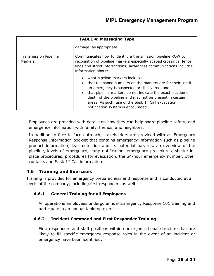| <b>TABLE 4: Messaging Type</b>                 |                                                                                                                                                                                                                                                                                                                                                                                  |  |  |  |
|------------------------------------------------|----------------------------------------------------------------------------------------------------------------------------------------------------------------------------------------------------------------------------------------------------------------------------------------------------------------------------------------------------------------------------------|--|--|--|
|                                                | damage, as appropriate.                                                                                                                                                                                                                                                                                                                                                          |  |  |  |
| <b>Transmission Pipeline</b><br><b>Markers</b> | Communicates how to identify a transmission pipeline ROW by<br>recognition of pipeline markers especially at road crossings, fence<br>lines and street intersections; awareness communications includes<br>information about:                                                                                                                                                    |  |  |  |
|                                                | what pipeline markers look like<br>that telephone numbers on the markers are for their use if<br>an emergency is suspected or discovered, and<br>that pipeline markers do not indicate the exact location or<br>depth of the pipeline and may not be present in certain<br>areas. As such, use of the Sask 1 <sup>st</sup> Call excavation<br>notification system is encouraged. |  |  |  |

Employees are provided with details on how they can help share pipeline safety, and emergency information with family, friends, and neighbors.

In addition to face-to-face outreach, stakeholders are provided with an Emergency Response Information booklet that contains emergency information such as pipeline product information, leak detection and its potential hazards, an overview of the pipeline, levels of emergency, early notification, emergency procedures, shelter-inplace procedures, procedures for evacuation, the 24-hour emergency number, other contacts and Sask  $1<sup>st</sup>$  Call information.

# **4.6 Training and Exercises**

Training is provided for emergency preparedness and response and is conducted at all levels of the company, including first responders as well.

# **4.6.1 General Training for all Employees**

All operations employees undergo annual Emergency Response 101 training and participate in an annual tabletop exercise.

#### **4.6.2 Incident Command and First Responder Training**

First responders and staff positions within our organizational structure that are likely to fill specific emergency response roles in the event of an incident or emergency have been identified: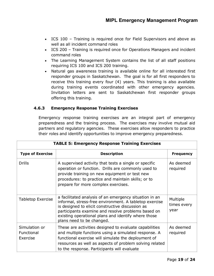- ICS 100 Training is required once for Field Supervisors and above as well as all incident command roles
- ICS 200 Training is required once for Operations Managers and incident command roles
- The Learning Management System contains the list of all staff positions requiring ICS 100 and ICS 200 training.
- Natural gas awareness training is available online for all interested first responder groups in Saskatchewan. The goal is for all first responders to receive this training every four (4) years. This training is also available during training events coordinated with other emergency agencies. Invitation letters are sent to Saskatchewan first responder groups offering this training.

#### **4.6.3 Emergency Response Training Exercises**

Emergency response training exercises are an integral part of emergency preparedness and the training process. The exercises may involve mutual aid partners and regulatory agencies. These exercises allow responders to practice their roles and identify opportunities to improve emergency preparedness.

| <b>TABLE 5: Emergency Response Training Exercises</b> |                                                                                                                                                                                                                                                                                                                |                                 |  |
|-------------------------------------------------------|----------------------------------------------------------------------------------------------------------------------------------------------------------------------------------------------------------------------------------------------------------------------------------------------------------------|---------------------------------|--|
| <b>Type of Exercise</b>                               | <b>Description</b>                                                                                                                                                                                                                                                                                             | <b>Frequency</b>                |  |
| <b>Drills</b>                                         | A supervised activity that tests a single or specific<br>operation or function. Drills are commonly used to<br>provide training on new equipment or test new<br>procedures: to practice and maintain skills; or to<br>prepare for more complex exercises.                                                      | As deemed<br>required           |  |
| <b>Tabletop Exercise</b>                              | a facilitated analysis of an emergency situation in an<br>informal, stress-free environment. A tabletop exercise<br>is designed to elicit constructive discussion as<br>participants examine and resolve problems based on<br>existing operational plans and identify where those<br>plans need to be changed. | Multiple<br>times every<br>year |  |
| Simulation or<br>Functional<br>Exercise               | These are activities designed to evaluate capabilities<br>and multiple functions using a simulated response. A<br>functional exercise will simulate the deployment of<br>resources as well as aspects of problem solving related<br>to the response. Participants will evaluate                                | As deemed<br>required           |  |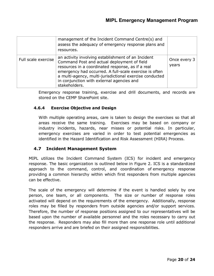|                     | management of the Incident Command Centre(s) and<br>assess the adequacy of emergency response plans and<br>resources.                                                                                                                                                                                                                     |                         |
|---------------------|-------------------------------------------------------------------------------------------------------------------------------------------------------------------------------------------------------------------------------------------------------------------------------------------------------------------------------------------|-------------------------|
| Full scale exercise | an activity involving establishment of an Incident<br>Command Post and actual deployment of field<br>resources in a coordinated response, as if a real<br>emergency had occurred. A full-scale exercise is often<br>a multi-agency, multi-jurisdictional exercise conducted<br>in conjunction with external agencies and<br>stakeholders. | Once every $3$<br>years |

Emergency response training, exercise and drill documents, and records are stored on the CEMP SharePoint site.

#### **4.6.4 Exercise Objective and Design**

With multiple operating areas, care is taken to design the exercises so that all areas receive the same training. Exercises may be based on company or industry incidents, hazards, near misses or potential risks. In particular, emergency exercises are varied in order to test potential emergencies as identified in the Hazard Identification and Risk Assessment (HIRA) Process.

#### **4.7 Incident Management System**

MIPL utilizes the Incident Command System (ICS) for incident and emergency response. The basic organization is outlined below in Figure 2. ICS is a standardized approach to the command, control, and coordination of emergency response providing a common hierarchy within which first responders from multiple agencies can be effective.

The scale of the emergency will determine if the event is handled solely by one person, one team, or all components. The size or number of response roles activated will depend on the requirements of the emergency. Additionally, response roles may be filled by responders from outside agencies and/or support services. Therefore, the number of response positions assigned to our representatives will be based upon the number of available personnel and the roles necessary to carry out the response. Responders may also fill more than one response role until additional responders arrive and are briefed on their assigned responsibilities.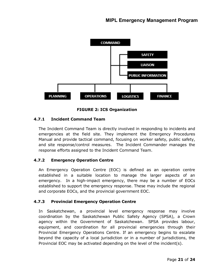



#### **4.7.1 Incident Command Team**

The Incident Command Team is directly involved in responding to incidents and emergencies at the field site. They implement the Emergency Procedures Manual and provide tactical command, focusing on worker safety, public safety, and site response/control measures. The Incident Commander manages the response efforts assigned to the Incident Command Team.

#### **4.7.2 Emergency Operation Centre**

An Emergency Operation Centre (EOC) is defined as an operation centre established in a suitable location to manage the larger aspects of an emergency. In a high-impact emergency, there may be a number of EOCs established to support the emergency response. These may include the regional and corporate EOCs, and the provincial government EOC.

#### **4.7.3 Provincial Emergency Operation Centre**

In Saskatchewan, a provincial level emergency response may involve coordination by the Saskatchewan Public Safety Agency (SPSA), a Crown agency within the Government of Saskatchewan. SPSA provides labour, equipment, and coordination for all provincial emergencies through their Provincial Emergency Operations Centre. If an emergency begins to escalate beyond the capacity of a local jurisdiction or in a number of jurisdictions, the Provincial EOC may be activated depending on the level of the incident(s).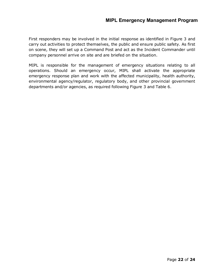# **MIPL Emergency Management Program**

First responders may be involved in the initial response as identified in Figure 3 and carry out activities to protect themselves, the public and ensure public safety. As first on scene, they will set up a Command Post and act as the Incident Commander until company personnel arrive on site and are briefed on the situation.

MIPL is responsible for the management of emergency situations relating to all operations. Should an emergency occur, MIPL shall activate the appropriate emergency response plan and work with the affected municipality, health authority, environmental agency/regulator, regulatory body, and other provincial government departments and/or agencies, as required following Figure 3 and Table 6.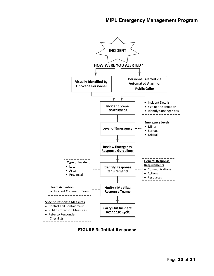

**FIGURE 3: Initial Response**